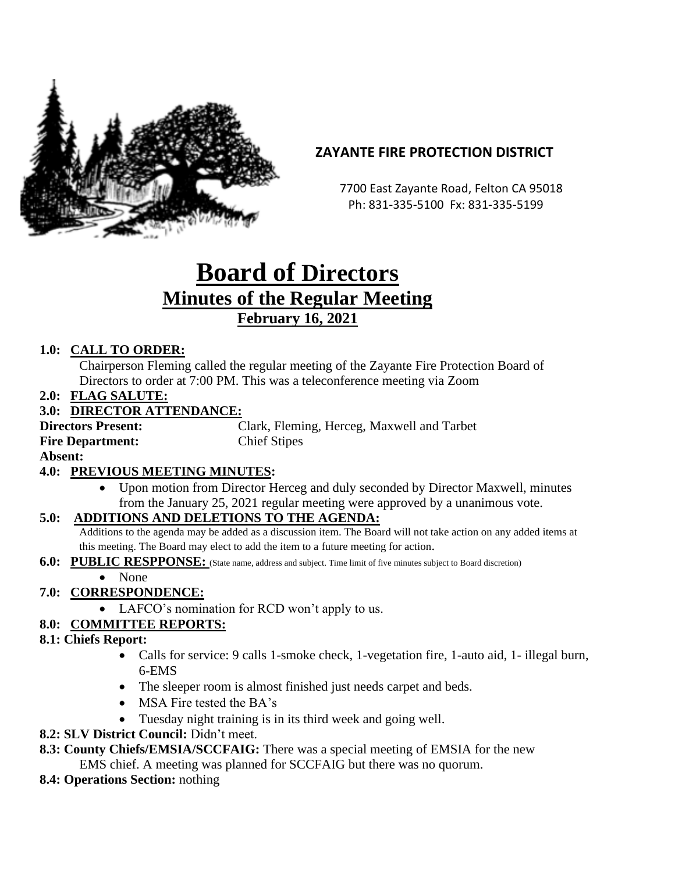

## **ZAYANTE FIRE PROTECTION DISTRICT**

 7700 East Zayante Road, Felton CA 95018 Ph: 831-335-5100 Fx: 831-335-5199

# **Board of Directors Minutes of the Regular Meeting February 16, 2021**

### **1.0: CALL TO ORDER:**

Chairperson Fleming called the regular meeting of the Zayante Fire Protection Board of Directors to order at 7:00 PM. This was a teleconference meeting via Zoom

**2.0: FLAG SALUTE:**

#### **3.0: DIRECTOR ATTENDANCE:**

**Directors Present:** Clark, Fleming, Herceg, Maxwell and Tarbet **Fire Department:** Chief Stipes

**Absent:** 

#### **4.0: PREVIOUS MEETING MINUTES:**

• Upon motion from Director Herceg and duly seconded by Director Maxwell, minutes from the January 25, 2021 regular meeting were approved by a unanimous vote.

#### **5.0: ADDITIONS AND DELETIONS TO THE AGENDA:**

Additions to the agenda may be added as a discussion item. The Board will not take action on any added items at this meeting. The Board may elect to add the item to a future meeting for action.

**6.0: PUBLIC RESPPONSE:** (State name, address and subject. Time limit of five minutes subject to Board discretion)

## • None

#### **7.0: CORRESPONDENCE:**

• LAFCO's nomination for RCD won't apply to us.

## **8.0: COMMITTEE REPORTS:**

- **8.1: Chiefs Report:**
	- Calls for service: 9 calls 1-smoke check, 1-vegetation fire, 1-auto aid, 1- illegal burn, 6-EMS
	- The sleeper room is almost finished just needs carpet and beds.
	- MSA Fire tested the BA's
	- Tuesday night training is in its third week and going well.
- **8.2: SLV District Council:** Didn't meet.
- **8.3: County Chiefs/EMSIA/SCCFAIG:** There was a special meeting of EMSIA for the new EMS chief. A meeting was planned for SCCFAIG but there was no quorum.
- **8.4: Operations Section:** nothing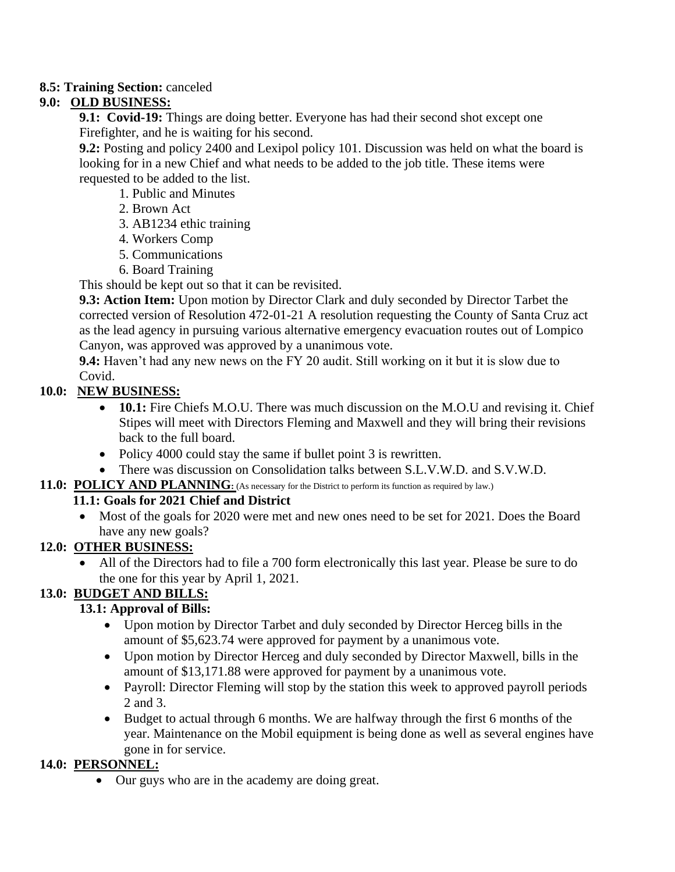#### **8.5: Training Section:** canceled

#### **9.0: OLD BUSINESS:**

**9.1: Covid-19:** Things are doing better. Everyone has had their second shot except one Firefighter, and he is waiting for his second.

**9.2:** Posting and policy 2400 and Lexipol policy 101. Discussion was held on what the board is looking for in a new Chief and what needs to be added to the job title. These items were requested to be added to the list.

1. Public and Minutes

- 2. Brown Act
- 3. AB1234 ethic training
- 4. Workers Comp
- 5. Communications
- 6. Board Training

This should be kept out so that it can be revisited.

**9.3: Action Item:** Upon motion by Director Clark and duly seconded by Director Tarbet the corrected version of Resolution 472-01-21 A resolution requesting the County of Santa Cruz act as the lead agency in pursuing various alternative emergency evacuation routes out of Lompico Canyon, was approved was approved by a unanimous vote.

**9.4:** Haven't had any new news on the FY 20 audit. Still working on it but it is slow due to Covid.

#### **10.0: NEW BUSINESS:**

- **10.1:** Fire Chiefs M.O.U. There was much discussion on the M.O.U and revising it. Chief Stipes will meet with Directors Fleming and Maxwell and they will bring their revisions back to the full board.
- Policy 4000 could stay the same if bullet point 3 is rewritten.
- There was discussion on Consolidation talks between S.L.V.W.D. and S.V.W.D.

#### **11.0: POLICY AND PLANNING:** (As necessary for the District to perform its function as required by law.)

#### **11.1: Goals for 2021 Chief and District**

• Most of the goals for 2020 were met and new ones need to be set for 2021. Does the Board have any new goals?

#### **12.0: OTHER BUSINESS:**

• All of the Directors had to file a 700 form electronically this last year. Please be sure to do the one for this year by April 1, 2021.

## **13.0: BUDGET AND BILLS:**

#### **13.1: Approval of Bills:**

- Upon motion by Director Tarbet and duly seconded by Director Herceg bills in the amount of \$5,623.74 were approved for payment by a unanimous vote.
- Upon motion by Director Herceg and duly seconded by Director Maxwell, bills in the amount of \$13,171.88 were approved for payment by a unanimous vote.
- Payroll: Director Fleming will stop by the station this week to approved payroll periods 2 and 3.
- Budget to actual through 6 months. We are halfway through the first 6 months of the year. Maintenance on the Mobil equipment is being done as well as several engines have gone in for service.

#### **14.0: PERSONNEL:**

• Our guys who are in the academy are doing great.